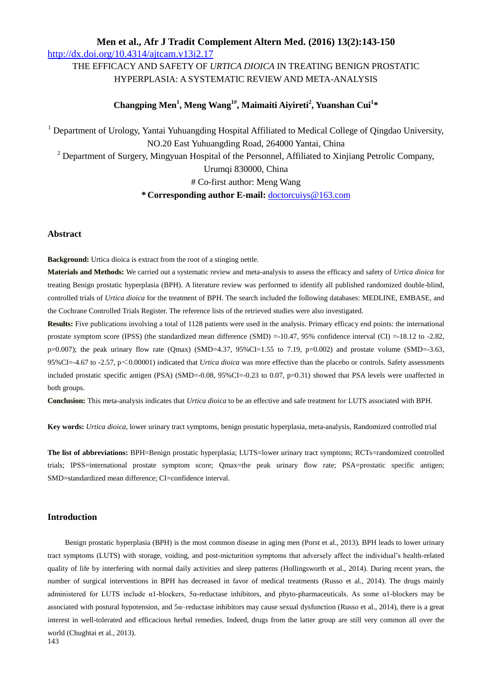# **Men et al., Afr J Tradit Complement Altern Med. (2016) 13(2):143-150**  <http://dx.doi.org/10.4314/ajtcam.v13i2.17>

THE EFFICACY AND SAFETY OF *URTICA DIOICA* IN TREATING BENIGN PROSTATIC HYPERPLASIA: A SYSTEMATIC REVIEW AND META-ANALYSIS

## **Changping Men<sup>1</sup> , Meng Wang1# , Maimaiti Aiyireti<sup>2</sup> , Yuanshan Cui<sup>1</sup> \***

<sup>1</sup> Department of Urology, Yantai Yuhuangding Hospital Affiliated to Medical College of Qingdao University, NO.20 East Yuhuangding Road, 264000 Yantai, China  $2$  Department of Surgery, Mingyuan Hospital of the Personnel, Affiliated to Xinjiang Petrolic Company,

Urumqi 830000, China

# Co-first author: Meng Wang

## **\* Corresponding author E-mail:** [doctorcuiys@163.com](mailto:doctorcuiys@163.com)

## **Abstract**

**Background:** Urtica dioica is extract from the root of a stinging nettle.

**Materials and Methods:** We carried out a systematic review and meta-analysis to assess the efficacy and safety of *Urtica dioica* for treating Benign prostatic hyperplasia (BPH). A literature review was performed to identify all published randomized double-blind, controlled trials of *Urtica dioica* for the treatment of BPH. The search included the following databases: MEDLINE, EMBASE, and the Cochrane Controlled Trials Register. The reference lists of the retrieved studies were also investigated.

**Results:** Five publications involving a total of 1128 patients were used in the analysis. Primary efficacy end points: the international prostate symptom score (IPSS) (the standardized mean difference (SMD) =-10.47, 95% confidence interval (CI) =-18.12 to -2.82,  $p=0.007$ ); the peak urinary flow rate (Qmax) (SMD=4.37, 95%CI=1.55 to 7.19,  $p=0.002$ ) and prostate volume (SMD=-3.63, 95%CI=-4.67 to -2.57, p<0.00001) indicated that *Urtica dioica* was more effective than the placebo or controls. Safety assessments included prostatic specific antigen (PSA) (SMD=-0.08, 95%CI=-0.23 to 0.07, p=0.31) showed that PSA levels were unaffected in both groups.

**Conclusion:** This meta-analysis indicates that *Urtica dioica* to be an effective and safe treatment for LUTS associated with BPH.

**Key words:** *Urtica dioica*, lower urinary tract symptoms, benign prostatic hyperplasia, meta-analysis, Randomized controlled trial

**The list of abbreviations:** BPH=Benign prostatic hyperplasia; LUTS=lower urinary tract symptoms; RCTs=randomized controlled trials; IPSS=international prostate symptom score; Qmax=the peak urinary flow rate; PSA=prostatic specific antigen; SMD=standardized mean difference; CI=confidence interval.

#### **Introduction**

Benign prostatic hyperplasia (BPH) is the most common disease in aging men (Porst et al., 2013). BPH leads to lower urinary tract symptoms (LUTS) with storage, voiding, and post-micturition symptoms that adversely affect the individual's health-related quality of life by interfering with normal daily activities and sleep patterns (Hollingsworth et al., 2014). During recent years, the number of surgical interventions in BPH has decreased in favor of medical treatments (Russo et al., 2014). The drugs mainly administered for LUTS include α1-blockers, 5α-reductase inhibitors, and phyto-pharmaceuticals. As some α1-blockers may be associated with postural hypotension, and 5α–reductase inhibitors may cause sexual dysfunction (Russo et al., 2014), there is a great interest in well-tolerated and efficacious herbal remedies. Indeed, drugs from the latter group are still very common all over the world (Chughtai et al., 2013).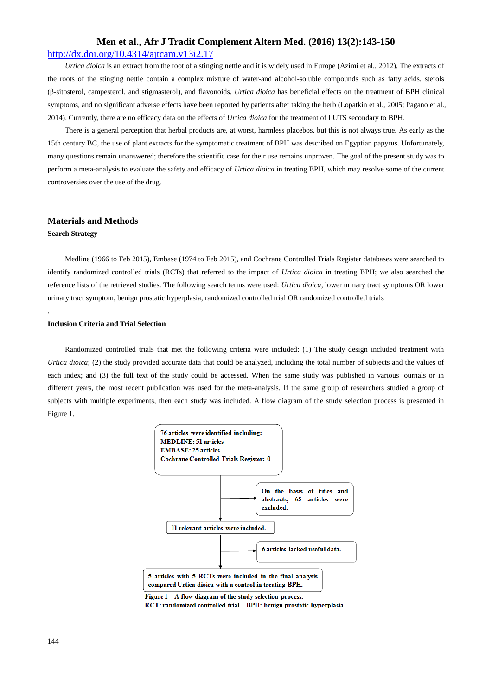## <http://dx.doi.org/10.4314/ajtcam.v13i2.17>

*Urtica dioica* is an extract from the root of a stinging nettle and it is widely used in Europe (Azimi et al., 2012). The extracts of the roots of the stinging nettle contain a complex mixture of water-and alcohol-soluble compounds such as fatty acids, sterols (β-sitosterol, campesterol, and stigmasterol), and flavonoids. *Urtica dioica* has beneficial effects on the treatment of BPH clinical symptoms, and no significant adverse effects have been reported by patients after taking the herb (Lopatkin et al., 2005; Pagano et al., 2014). Currently, there are no efficacy data on the effects of *Urtica dioica* for the treatment of LUTS secondary to BPH.

There is a general perception that herbal products are, at worst, harmless placebos, but this is not always true. As early as the 15th century BC, the use of plant extracts for the symptomatic treatment of BPH was described on Egyptian papyrus. Unfortunately, many questions remain unanswered; therefore the scientific case for their use remains unproven. The goal of the present study was to perform a meta-analysis to evaluate the safety and efficacy of *Urtica dioica* in treating BPH, which may resolve some of the current controversies over the use of the drug.

# **Materials and Methods**

### **Search Strategy**

.

Medline (1966 to Feb 2015), Embase (1974 to Feb 2015), and Cochrane Controlled Trials Register databases were searched to identify randomized controlled trials (RCTs) that referred to the impact of *Urtica dioica* in treating BPH; we also searched the reference lists of the retrieved studies. The following search terms were used: *Urtica dioica,* lower urinary tract symptoms OR lower urinary tract symptom, benign prostatic hyperplasia, randomized controlled trial OR randomized controlled trials

#### **Inclusion Criteria and Trial Selection**

Randomized controlled trials that met the following criteria were included: (1) The study design included treatment with *Urtica dioica*; (2) the study provided accurate data that could be analyzed, including the total number of subjects and the values of each index; and (3) the full text of the study could be accessed. When the same study was published in various journals or in different years, the most recent publication was used for the meta-analysis. If the same group of researchers studied a group of subjects with multiple experiments, then each study was included. A flow diagram of the study selection process is presented in Figure 1.



Figure 1 A flow diagram of the study selection process. RCT: randomized controlled trial BPH: benign prostatic hyperplasia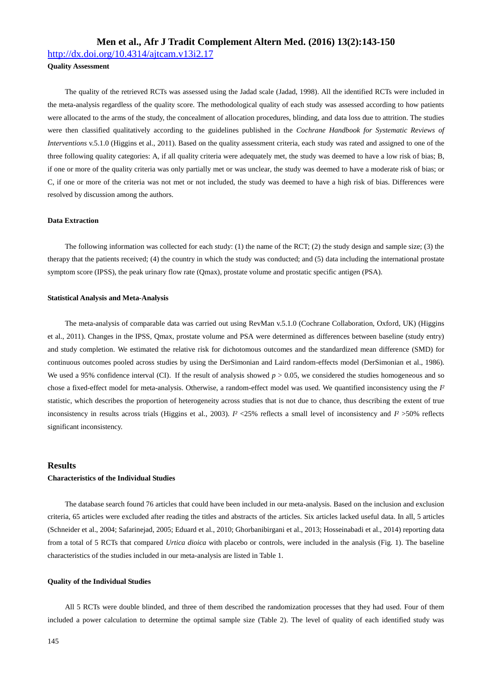<http://dx.doi.org/10.4314/ajtcam.v13i2.17>

#### **Quality Assessment**

The quality of the retrieved RCTs was assessed using the Jadad scale (Jadad, 1998). All the identified RCTs were included in the meta-analysis regardless of the quality score. The methodological quality of each study was assessed according to how patients were allocated to the arms of the study, the concealment of allocation procedures, blinding, and data loss due to attrition. The studies were then classified qualitatively according to the guidelines published in the *Cochrane Handbook for Systematic Reviews of Interventions* v.5.1.0 (Higgins et al., 2011). Based on the quality assessment criteria, each study was rated and assigned to one of the three following quality categories: A, if all quality criteria were adequately met, the study was deemed to have a low risk of bias; B, if one or more of the quality criteria was only partially met or was unclear, the study was deemed to have a moderate risk of bias; or C, if one or more of the criteria was not met or not included, the study was deemed to have a high risk of bias. Differences were resolved by discussion among the authors.

#### **Data Extraction**

The following information was collected for each study: (1) the name of the RCT; (2) the study design and sample size; (3) the therapy that the patients received; (4) the country in which the study was conducted; and (5) data including the international prostate symptom score (IPSS), the peak urinary flow rate (Qmax), prostate volume and prostatic specific antigen (PSA).

#### **Statistical Analysis and Meta-Analysis**

The meta-analysis of comparable data was carried out using RevMan v.5.1.0 (Cochrane Collaboration, Oxford, UK) (Higgins et al., 2011). Changes in the IPSS, Qmax, prostate volume and PSA were determined as differences between baseline (study entry) and study completion. We estimated the relative risk for dichotomous outcomes and the standardized mean difference (SMD) for continuous outcomes pooled across studies by using the DerSimonian and Laird random-effects model (DerSimonian et al., 1986). We used a 95% confidence interval (CI). If the result of analysis showed  $p > 0.05$ , we considered the studies homogeneous and so chose a fixed-effect model for meta-analysis. Otherwise, a random-effect model was used. We quantified inconsistency using the *I²* statistic, which describes the proportion of heterogeneity across studies that is not due to chance, thus describing the extent of true inconsistency in results across trials (Higgins et al., 2003). *I²* <25% reflects a small level of inconsistency and *I²* >50% reflects significant inconsistency.

#### **Results**

#### **Characteristics of the Individual Studies**

The database search found 76 articles that could have been included in our meta-analysis. Based on the inclusion and exclusion criteria, 65 articles were excluded after reading the titles and abstracts of the articles. Six articles lacked useful data. In all, 5 articles (Schneider et al., 2004; Safarinejad, 2005; Eduard et al., 2010; Ghorbanibirgani et al., 2013; Hosseinabadi et al., 2014) reporting data from a total of 5 RCTs that compared *Urtica dioica* with placebo or controls, were included in the analysis (Fig. 1). The baseline characteristics of the studies included in our meta-analysis are listed in Table 1.

#### **Quality of the Individual Studies**

All 5 RCTs were double blinded, and three of them described the randomization processes that they had used. Four of them included a power calculation to determine the optimal sample size (Table 2). The level of quality of each identified study was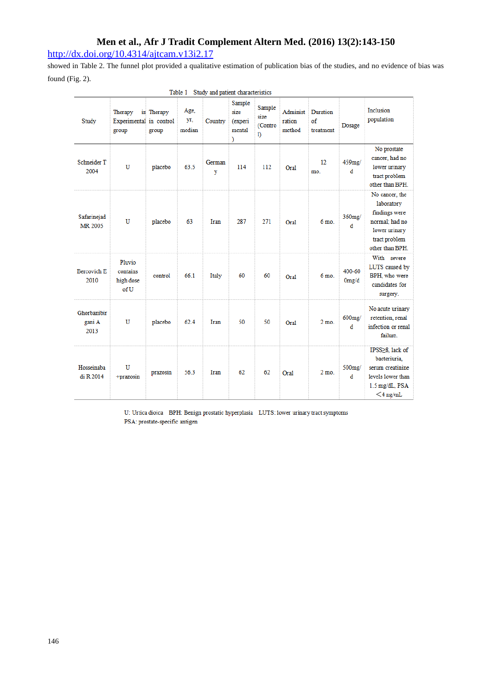<http://dx.doi.org/10.4314/ajtcam.v13i2.17>

showed in Table 2. The funnel plot provided a qualitative estimation of publication bias of the studies, and no evidence of bias was found (Fig. 2).

| Study and patient characteristics<br>Table 1 |                                             |                     |                       |             |                                          |                                 |                              |                                     |                     |                                                                                                                      |  |
|----------------------------------------------|---------------------------------------------|---------------------|-----------------------|-------------|------------------------------------------|---------------------------------|------------------------------|-------------------------------------|---------------------|----------------------------------------------------------------------------------------------------------------------|--|
| Study                                        | Therapy<br>Experimental in control<br>group | in Therapy<br>group | Age,<br>yr,<br>median | Country     | Sample<br>size<br>(experi<br>mental<br>٦ | Sample<br>size<br>(Contro<br>I) | Administ<br>ration<br>method | Duration<br>$\sigma$ f<br>treatment | Dosage              | Inclusion<br>population                                                                                              |  |
| Schneider T<br>2004                          | U                                           | placebo             | 63.5                  | German<br>у | 114                                      | 112                             | Oral                         | 12<br>mo.                           | 459mg/<br>d         | No prostate<br>cancer, had no<br>lower urinary<br>tract problem<br>other than BPH                                    |  |
| Safarinejad<br>MR 2005                       | U                                           | placebo             | 63                    | Iran        | 287                                      | 271                             | Oral                         | $6 \text{ mo}$ .                    | 360mg/<br>d         | No cancer, the<br>laboratory<br>findings were<br>normal; had no<br>lower urinary<br>tract problem<br>other than BPH. |  |
| <b>Bercovich E</b><br>2010                   | Pluvio<br>contains<br>high dose<br>of U     | control             | 66.1                  | Italy       | 60                                       | 60                              | Oral                         | $6 \text{ mo}$ .                    | $400 - 60$<br>0mg/d | With severe<br>LUTS caused by<br>BPH, who were<br>candidates for<br>surgery.                                         |  |
| Ghorbanibir<br>gani A<br>2013                | U                                           | placebo             | 62.4                  | Iran        | 50                                       | 50                              | Oral                         | $2 \text{ mo}$ .                    | $600$ mg/<br>d      | No acute urinary<br>retention, renal<br>infection or renal<br>failure.                                               |  |
| Hosseinaba<br>di R 2014                      | U<br>+prazosin                              | prazosin            | 56.3                  | Iran        | 62                                       | 62                              | Oral                         | $2 \text{ mo}$ .                    | 500mg/<br>d         | IPSS≥8, lack of<br>bacteriuria.<br>serum creatinine<br>levels lower than<br>1.5 mg/dL, PSA<br>$\leq$ 4 ng/mL         |  |

U: Urtica dioica BPH: Benign prostatic hyperplasia LUTS: lower urinary tract symptoms PSA: prostate-specific antigen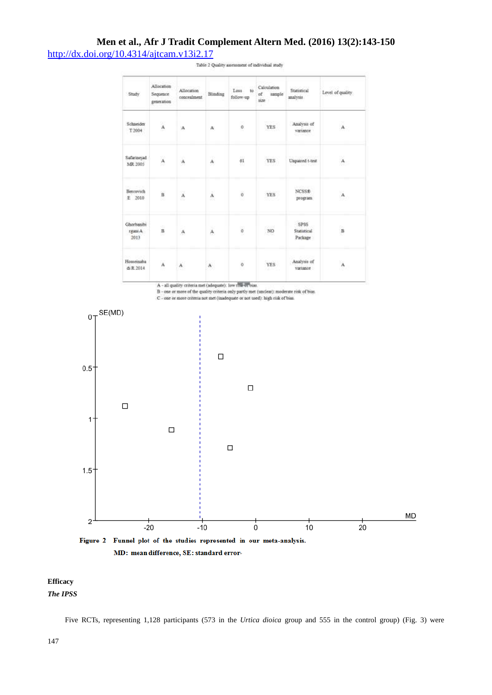# **Men et al., Afr J Tradit Complement Altern Med. (2016) 13(2):143-150**  <http://dx.doi.org/10.4314/ajtcam.v13i2.17>

Table 2 Quality assessment of individual study

| Study                         | Allocation<br>Sequence:<br>generation | Allocation<br>conceaiment                                                           | Blinding | to<br>Loss<br>follow-up | Calculation<br>$\alpha$<br>sample<br>size                  | Statistical<br>analysis:                                                                  | Level of quality |
|-------------------------------|---------------------------------------|-------------------------------------------------------------------------------------|----------|-------------------------|------------------------------------------------------------|-------------------------------------------------------------------------------------------|------------------|
| Schneider<br>T2004            | A                                     | A                                                                                   | ×        | ō.                      | YES                                                        | Analysis of<br>variance                                                                   | Å                |
| Safarinejad<br>MR 2005        | A                                     | A                                                                                   | A        | 61                      | YES                                                        | Unpaired t-test                                                                           | A                |
| Bercovich<br>E 2010           | B                                     | A                                                                                   | À        | ö                       | YES                                                        | NCSS®<br>ргодзян                                                                          | А                |
| Ghorbanibi<br>rgani A<br>2013 | $\rm{H}$                              | Ā                                                                                   | A        | ń.                      | NO                                                         | SPSS<br>Statistical<br>Package                                                            | B                |
| Hosseinaba<br>di R 2014       | ٨                                     | ð.                                                                                  | Ã.       | o                       | YES:                                                       | Analysis of<br>variance                                                                   | $\mathbf{A}$     |
|                               |                                       |                                                                                     |          |                         | A - all quality criteria met (adequate): low rise or bias. |                                                                                           |                  |
|                               |                                       | C - one or more criteria not met (inadequate or not used): high risk of bias.<br>f, | $\Box$   |                         |                                                            | B - one or more of the quality criteria only partly met (unclear): moderate risk of bias. |                  |
| _SE(MD)                       |                                       |                                                                                     |          | $\Box$                  |                                                            |                                                                                           |                  |
| $\Box$                        | $\Box$                                |                                                                                     |          |                         |                                                            |                                                                                           |                  |
|                               |                                       |                                                                                     |          | $\Box$                  |                                                            |                                                                                           |                  |



## **Efficacy**  *The IPSS*

 $\overline{2}$ 

Five RCTs, representing 1,128 participants (573 in the *Urtica dioica* group and 555 in the control group) (Fig. 3) were

MD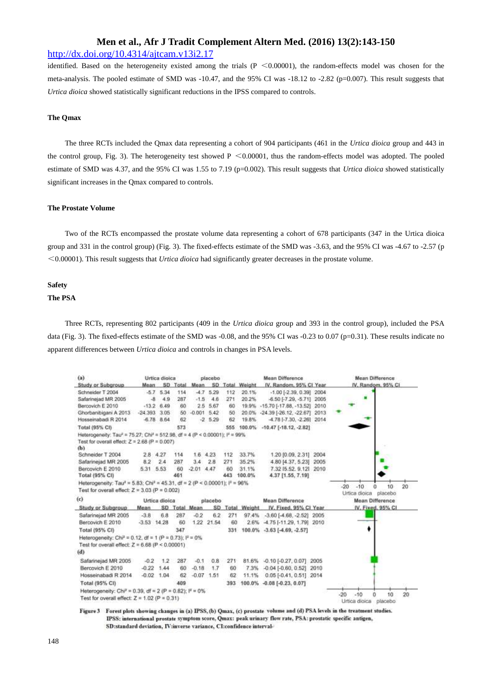## <http://dx.doi.org/10.4314/ajtcam.v13i2.17>

identified. Based on the heterogeneity existed among the trials  $(P < 0.00001)$ , the random-effects model was chosen for the meta-analysis. The pooled estimate of SMD was -10.47, and the 95% CI was -18.12 to -2.82 (p=0.007). This result suggests that *Urtica dioica* showed statistically significant reductions in the IPSS compared to controls.

#### **The Qmax**

The three RCTs included the Qmax data representing a cohort of 904 participants (461 in the *Urtica dioica* group and 443 in the control group, Fig. 3). The heterogeneity test showed  $P < 0.00001$ , thus the random-effects model was adopted. The pooled estimate of SMD was 4.37, and the 95% CI was 1.55 to 7.19 (p=0.002). This result suggests that *Urtica dioica* showed statistically significant increases in the Qmax compared to controls.

#### **The Prostate Volume**

Two of the RCTs encompassed the prostate volume data representing a cohort of 678 participants (347 in the Urtica dioica group and 331 in the control group) (Fig. 3). The fixed-effects estimate of the SMD was -3.63, and the 95% CI was -4.67 to -2.57 (p <0.00001). This result suggests that *Urtica dioica* had significantly greater decreases in the prostate volume.

### **Safety**

#### **The PSA**

Three RCTs, representing 802 participants (409 in the *Urtica dioica* group and 393 in the control group), included the PSA data (Fig. 3). The fixed-effects estimate of the SMD was -0.08, and the 95% CI was -0.23 to 0.07 (p=0.31). These results indicate no apparent differences between *Urtica dioica* and controls in changes in PSA levels.

| (a)                                                                                                   | Urtica dioica |          |               | placebo       |            |                        |                 | <b>Mean Difference</b>                |  | Mean Difference |                    |         |    |
|-------------------------------------------------------------------------------------------------------|---------------|----------|---------------|---------------|------------|------------------------|-----------------|---------------------------------------|--|-----------------|--------------------|---------|----|
| Study or Subgroup                                                                                     | Mean.         |          | SD Total      | <b>Mean</b>   |            |                        | SD Total Weight | IV, Random, 95% Cl Year.              |  |                 | IV. Random, 95% CI |         |    |
| Schneider T 2004                                                                                      | $-5.7$        | 5.34     | 114           |               | $-4.75.29$ | 112                    | 20.1%           | $-1.00$ $[-2.39, 0.39]$ 2004          |  |                 |                    |         |    |
| Safarinejad MR 2005                                                                                   | $-8$          | 4.9      | 287           | $-1.5$        | 4.6        | 271                    | 20.2%           | $-6.50$ $[-7.29, -5.71]$ 2005         |  |                 |                    |         |    |
| Beroavich E 2010                                                                                      | $-13.2$       | 6.49     | 80            | 2.5           | 5.67       | 60                     | 19.9%           | $-15.70$ [ $-17.88$ , $-13.52$ ] 2010 |  |                 |                    |         |    |
| Ghorbanibigani A 2013                                                                                 | $-24.393$     | 3.05     | 50            | $-0.001$ 5.42 |            | 50                     |                 | 20.0% -24.39 [-26.12, -22.67] 2013    |  |                 |                    |         |    |
| Hosseinabadi R 2014                                                                                   | $-6.78$       | 8.64     | 62            |               | $-2.5.29$  | 62                     | <b>19.8%</b>    | $-4.78$ [-7.30, -2.26] 2014           |  |                 |                    |         |    |
| Total (95% Cl)                                                                                        |               |          | 573           |               |            |                        | 555 100.0%      | $-10.47$ $-18.12$ , $-2.821$          |  |                 |                    |         |    |
| Heterogeneity: Tau <sup>2</sup> = 75.27; Chi <sup>2</sup> = 512.98, df = 4 (P < 0.00001); $I^2$ = 99% |               |          |               |               |            |                        |                 |                                       |  |                 |                    |         |    |
| Test for overall effect: $Z = 2.68$ (P = 0.007)                                                       |               |          |               |               |            |                        |                 |                                       |  |                 |                    |         |    |
| (b)                                                                                                   |               |          |               |               |            |                        |                 |                                       |  |                 |                    |         |    |
| Schneider T 2004                                                                                      |               | 2.8 4.27 | 114           | 1.6.4.23      |            | 112                    | 33.7%           | 1.20 [0.09, 2.31] 2004                |  |                 |                    |         |    |
| Safarinejad MR 2005                                                                                   | 8.2           | 2.4      | 287           | 3.4           | 2.8        | 271                    | 35.2%           | 4.80 [4.37, 5.23] 2005                |  |                 |                    |         |    |
| Bercovich E 2010                                                                                      | 5.31 5.53     |          | 60            | $-2.01$       | 4.47       | 60                     | 31.1%           | 7.32 (5.52, 9.12) 2010                |  |                 |                    |         |    |
| Total (95% CI)                                                                                        |               |          | 461           |               |            | 443                    | 100.0%          | 4.37 [1.55, 7.19]                     |  |                 |                    |         |    |
| Heterogeneity: Tau <sup>z</sup> = 5.83; Chi <sup>z</sup> = 45.31, df = 2 (P < 0.00001); $F = 96\%$    |               |          |               |               |            |                        |                 |                                       |  | $-20$           | $-10$<br>٥         | 10      | 20 |
| Test for overall effect: $Z = 3.03$ (P = 0.002)                                                       |               |          |               |               |            |                        |                 |                                       |  |                 | Urtica dioica      | placebo |    |
| (c)<br>Urtica dioica                                                                                  |               | placebo  |               |               |            | <b>Mean Difference</b> |                 | <b>Mean Difference</b>                |  |                 |                    |         |    |
| Study or Subgroup                                                                                     | Mean          |          | SD Total Mean |               |            |                        | SD Total Weight | IV, Fixed, 95% Cl Year                |  |                 | IV. Fixed, 95% CI  |         |    |
| Safarinejad MR 2005                                                                                   | $-3.8$        | 6.8      | 287           | $-0.2$        | 6.2        | 271                    | 97.4%           | $-3,60$ $[-4,68, -2.52]$ 2005         |  |                 |                    |         |    |
| Bercovich E 2010                                                                                      | $-3.53$ 14.28 |          | 60            |               | 1.22 21.54 | 60                     | 2.6%            | -4.75 [-11.29, 1.79] 2010             |  |                 |                    |         |    |
| Total (95% CI)                                                                                        |               |          | 347           |               |            | 331                    |                 | 100.0% -3.63 [-4.69, -2.57]           |  |                 |                    |         |    |
| Heterogeneity: Chi <sup>2</sup> = 0.12, df = 1 (P = 0.73); $P = 0\%$                                  |               |          |               |               |            |                        |                 |                                       |  |                 |                    |         |    |
| Test for overall effect: $Z = 6.68$ (P < 0.00001)                                                     |               |          |               |               |            |                        |                 |                                       |  |                 |                    |         |    |
| (d)                                                                                                   |               |          |               |               |            |                        |                 |                                       |  |                 |                    |         |    |
|                                                                                                       | $-0.2$        | 1.2      | 287           | $-0.1$        | 0.8        | 271                    | 81.6%           | $-0.10$ $[-0.27, 0.07]$ 2005          |  |                 |                    |         |    |
|                                                                                                       |               |          |               | $-0.18$       | 1.7        | 60                     | 7.3%            | $-0.04$ [ $-0.60$ , $0.52$ ] 2010     |  |                 |                    |         |    |
| Safarinejad MR 2005                                                                                   |               |          |               |               |            |                        |                 |                                       |  |                 |                    |         |    |
| Bercovich E 2010                                                                                      | $-0.22$       | 1.44     | 60            |               |            |                        |                 |                                       |  |                 |                    |         |    |
| Hosseinabadi R 2014                                                                                   | $-0.02$       | 1.04     | 62            | $-0.07$       | 1.51       | 62                     | 11.1%           | 0.05 [-0.41, 0.51] 2014               |  |                 |                    |         |    |
| Total (95% CI)<br>Heterogeneity: Chi <sup>2</sup> = 0.39, df = 2 (P = 0.82); F = 0%                   |               |          | 409           |               |            | 393                    | 100.0%          | $-0.08$ [ $-0.23$ , $0.07$ ]          |  | $-20$           | $-10$              | 10      | 20 |

Pigure 3 Forest plots showing changes in (a) IPSS, (b) Qmax, (c) pros  $(a)$ IPSS: international prostate symptom score, Qmax: peak urinary flow rate, PSA: prostatic specific antigen, SD:standard deviation, IV:inverse variance, CI:confidence interval-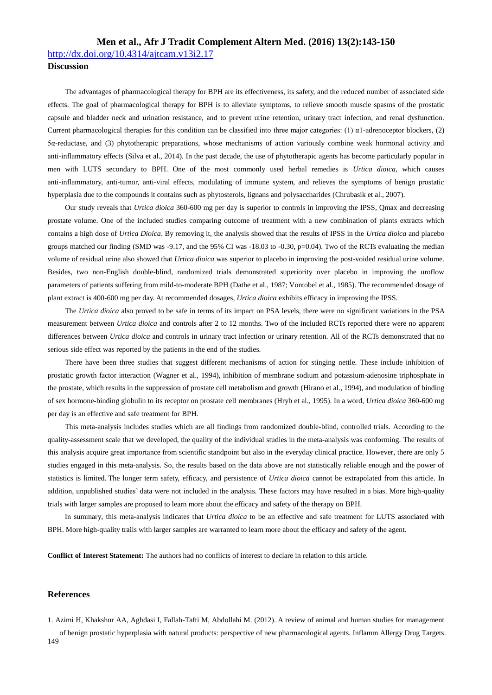<http://dx.doi.org/10.4314/ajtcam.v13i2.17>

#### **Discussion**

The advantages of pharmacological therapy for BPH are its effectiveness, its safety, and the reduced number of associated side effects. The goal of pharmacological therapy for BPH is to alleviate symptoms, to relieve smooth muscle spasms of the prostatic capsule and bladder neck and urination resistance, and to prevent urine retention, urinary tract infection, and renal dysfunction. Current pharmacological therapies for this condition can be classified into three major categories: (1) α1-adrenoceptor blockers, (2) 5α-reductase, and (3) phytotherapic preparations, whose mechanisms of action variously combine weak hormonal activity and anti-inflammatory effects (Silva et al., 2014). In the past decade, the use of phytotherapic agents has become particularly popular in men with LUTS secondary to BPH. One of the most commonly used herbal remedies is *Urtica dioica,* which causes anti-inflammatory, anti-tumor, anti-viral effects, modulating of immune system, and relieves the symptoms of benign prostatic hyperplasia due to the compounds it contains such as phytosterols, lignans and polysaccharides (Chrubasik et al., 2007).

 Our study reveals that *Urtica dioica* 360-600 mg per day is superior to controls in improving the IPSS, Qmax and decreasing prostate volume. One of the included studies comparing outcome of treatment with a new combination of plants extracts which contains a high dose of *Urtica Dioica*. By removing it, the analysis showed that the results of IPSS in the *Urtica dioica* and placebo groups matched our finding (SMD was -9.17, and the 95% CI was  $-18.03$  to  $-0.30$ ,  $p=0.04$ ). Two of the RCTs evaluating the median volume of residual urine also showed that *Urtica dioica* was superior to placebo in improving the post-voided residual urine volume. Besides, two non-English double-blind, randomized trials demonstrated superiority over placebo in improving the uroflow parameters of patients suffering from mild-to-moderate BPH (Dathe et al., 1987; Vontobel et al., 1985). The recommended dosage of plant extract is 400-600 mg per day. At recommended dosages, *Urtica dioica* exhibits efficacy in improving the IPSS.

 The *Urtica dioica* also proved to be safe in terms of its impact on PSA levels, there were no significant variations in the PSA measurement between *Urtica dioica* and controls after 2 to 12 months. Two of the included RCTs reported there were no apparent differences between *Urtica dioica* and controls in urinary tract infection or urinary retention. All of the RCTs demonstrated that no serious side effect was reported by the patients in the end of the studies.

 There have been three studies that suggest different mechanisms of action for stinging nettle. These include inhibition of prostatic growth factor interaction (Wagner et al., 1994), inhibition of membrane sodium and potassium-adenosine triphosphate in the prostate, which results in the suppression of prostate cell metabolism and growth (Hirano et al., 1994), and modulation of binding of sex hormone-binding globulin to its receptor on prostate cell membranes (Hryb et al., 1995). In a word, *Urtica dioica* 360-600 mg per day is an effective and safe treatment for BPH.

This meta-analysis includes studies which are all findings from randomized double-blind, controlled trials. According to the quality-assessment scale that we developed, the quality of the individual studies in the meta-analysis was conforming. The results of this analysis acquire great importance from scientific standpoint but also in the everyday clinical practice. However, there are only 5 studies engaged in this meta-analysis. So, the results based on the data above are not statistically reliable enough and the power of statistics is limited. The longer term safety, efficacy, and persistence of *Urtica dioica* cannot be extrapolated from this article. In addition, unpublished studies' data were not included in the analysis. These factors may have resulted in a bias. More high-quality trials with larger samples are proposed to learn more about the efficacy and safety of the therapy on BPH.

In summary, this meta-analysis indicates that *Urtica dioica* to be an effective and safe treatment for LUTS associated with BPH. More high-quality trails with larger samples are warranted to learn more about the efficacy and safety of the agent.

**Conflict of Interest Statement:** The authors had no conflicts of interest to declare in relation to this article.

## **References**

149 1. Azimi H, Khakshur AA, Aghdasi I, Fallah-Tafti M, Abdollahi M. (2012). A review of animal and human studies for management of benign prostatic hyperplasia with natural products: perspective of new pharmacological agents. Inflamm Allergy Drug Targets.